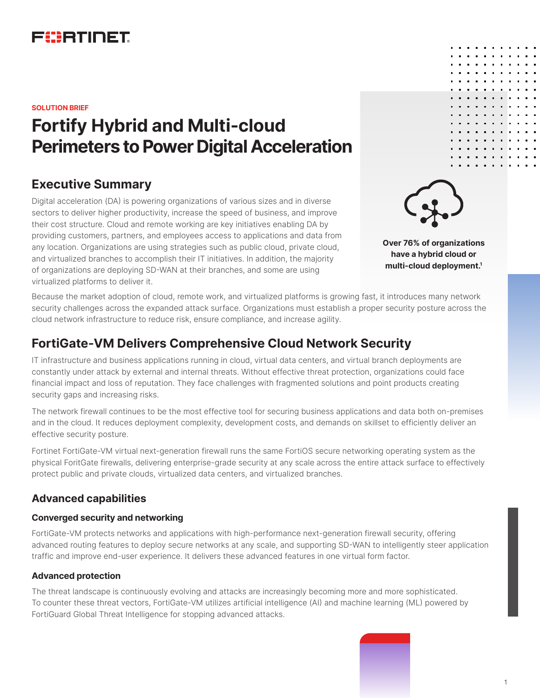

**SOLUTION BRIEF**

# **Fortify Hybrid and Multi-cloud Perimeters to Power Digital Acceleration**

# **Executive Summary**

Digital acceleration (DA) is powering organizations of various sizes and in diverse sectors to deliver higher productivity, increase the speed of business, and improve their cost structure. Cloud and remote working are key initiatives enabling DA by providing customers, partners, and employees access to applications and data from any location. Organizations are using strategies such as public cloud, private cloud, and virtualized branches to accomplish their IT initiatives. In addition, the majority of organizations are deploying SD-WAN at their branches, and some are using virtualized platforms to deliver it.

**Over 76% of organizations have a hybrid cloud or multi-cloud deployment.1**

Because the market adoption of cloud, remote work, and virtualized platforms is growing fast, it introduces many network security challenges across the expanded attack surface. Organizations must establish a proper security posture across the cloud network infrastructure to reduce risk, ensure compliance, and increase agility.

# **FortiGate-VM Delivers Comprehensive Cloud Network Security**

IT infrastructure and business applications running in cloud, virtual data centers, and virtual branch deployments are constantly under attack by external and internal threats. Without effective threat protection, organizations could face financial impact and loss of reputation. They face challenges with fragmented solutions and point products creating security gaps and increasing risks.

The network firewall continues to be the most effective tool for securing business applications and data both on-premises and in the cloud. It reduces deployment complexity, development costs, and demands on skillset to efficiently deliver an effective security posture.

Fortinet FortiGate-VM virtual next-generation firewall runs the same FortiOS secure networking operating system as the physical ForitGate firewalls, delivering enterprise-grade security at any scale across the entire attack surface to effectively protect public and private clouds, virtualized data centers, and virtualized branches.

## **Advanced capabilities**

#### **Converged security and networking**

FortiGate-VM protects networks and applications with high-performance next-generation firewall security, offering advanced routing features to deploy secure networks at any scale, and supporting SD-WAN to intelligently steer application traffic and improve end-user experience. It delivers these advanced features in one virtual form factor.

#### **Advanced protection**

The threat landscape is continuously evolving and attacks are increasingly becoming more and more sophisticated. To counter these threat vectors, FortiGate-VM utilizes artificial intelligence (AI) and machine learning (ML) powered by FortiGuard Global Threat Intelligence for stopping advanced attacks.

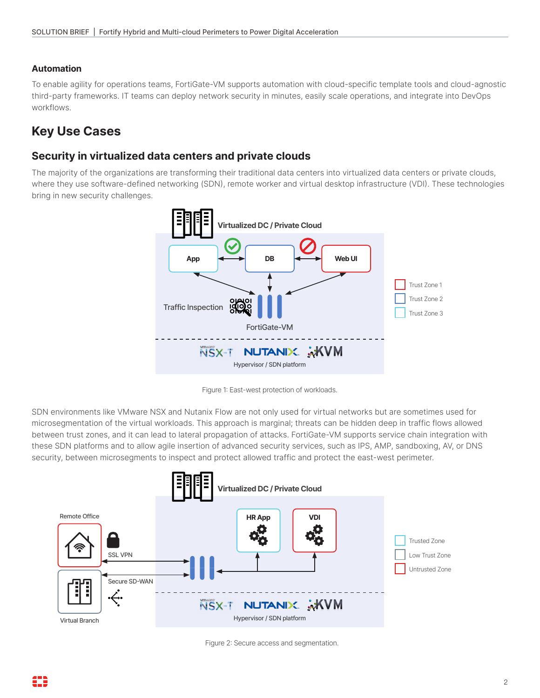#### **Automation**

To enable agility for operations teams, FortiGate-VM supports automation with cloud-specific template tools and cloud-agnostic third-party frameworks. IT teams can deploy network security in minutes, easily scale operations, and integrate into DevOps workflows.

# **Key Use Cases**

#### **Security in virtualized data centers and private clouds**

The majority of the organizations are transforming their traditional data centers into virtualized data centers or private clouds, where they use software-defined networking (SDN), remote worker and virtual desktop infrastructure (VDI). These technologies bring in new security challenges.



Figure 1: East-west protection of workloads.

SDN environments like VMware NSX and Nutanix Flow are not only used for virtual networks but are sometimes used for microsegmentation of the virtual workloads. This approach is marginal; threats can be hidden deep in traffic flows allowed between trust zones, and it can lead to lateral propagation of attacks. FortiGate-VM supports service chain integration with these SDN platforms and to allow agile insertion of advanced security services, such as IPS, AMP, sandboxing, AV, or DNS security, between microsegments to inspect and protect allowed traffic and protect the east-west perimeter.



Figure 2: Secure access and segmentation.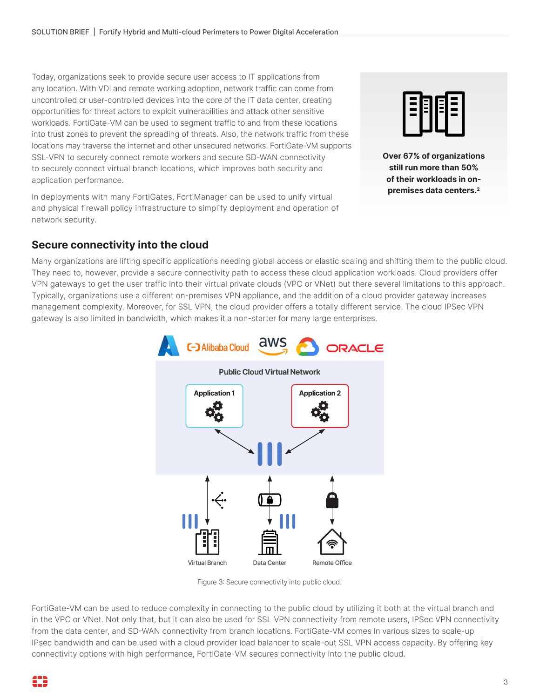Today, organizations seek to provide secure user access to IT applications from any location. With VDI and remote working adoption, network traffic can come from uncontrolled or user-controlled devices into the core of the IT data center, creating opportunities for threat actors to exploit vulnerabilities and attack other sensitive workloads. FortiGate-VM can be used to segment traffic to and from these locations into trust zones to prevent the spreading of threats. Also, the network traffic from these locations may traverse the internet and other unsecured networks. FortiGate-VM supports SSL-VPN to securely connect remote workers and secure SD-WAN connectivity to securely connect virtual branch locations, which improves both security and application performance.

In deployments with many FortiGates, FortiManager can be used to unify virtual and physical firewall policy infrastructure to simplify deployment and operation of network security.



**Over 67% of organizations still run more than 50% of their workloads in onpremises data centers.2**

## **Secure connectivity into the cloud**

Many organizations are lifting specific applications needing global access or elastic scaling and shifting them to the public cloud. They need to, however, provide a secure connectivity path to access these cloud application workloads. Cloud providers offer VPN gateways to get the user traffic into their virtual private clouds (VPC or VNet) but there several limitations to this approach. Typically, organizations use a different on-premises VPN appliance, and the addition of a cloud provider gateway increases management complexity. Moreover, for SSL VPN, the cloud provider offers a totally different service. The cloud IPSec VPN gateway is also limited in bandwidth, which makes it a non-starter for many large enterprises.



Figure 3: Secure connectivity into public cloud.

FortiGate-VM can be used to reduce complexity in connecting to the public cloud by utilizing it both at the virtual branch and in the VPC or VNet. Not only that, but it can also be used for SSL VPN connectivity from remote users, IPSec VPN connectivity from the data center, and SD-WAN connectivity from branch locations. FortiGate-VM comes in various sizes to scale-up IPsec bandwidth and can be used with a cloud provider load balancer to scale-out SSL VPN access capacity. By offering key connectivity options with high performance, FortiGate-VM secures connectivity into the public cloud.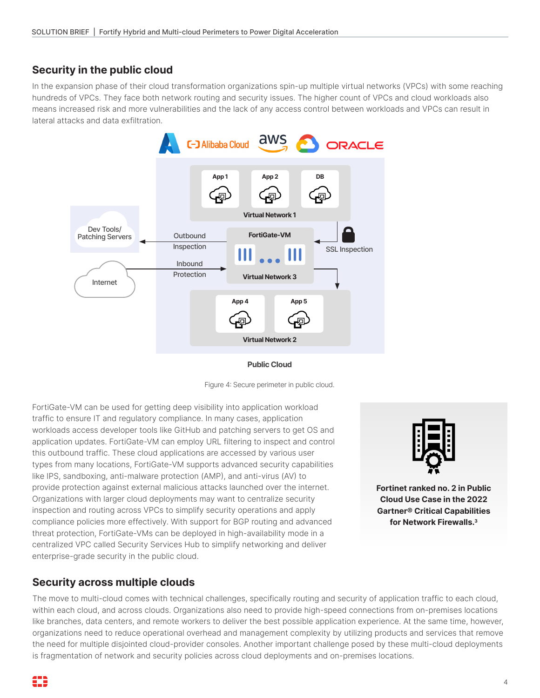## **Security in the public cloud**

In the expansion phase of their cloud transformation organizations spin-up multiple virtual networks (VPCs) with some reaching hundreds of VPCs. They face both network routing and security issues. The higher count of VPCs and cloud workloads also means increased risk and more vulnerabilities and the lack of any access control between workloads and VPCs can result in lateral attacks and data exfiltration.



**Public Cloud**

Figure 4: Secure perimeter in public cloud.

FortiGate-VM can be used for getting deep visibility into application workload traffic to ensure IT and regulatory compliance. In many cases, application workloads access developer tools like GitHub and patching servers to get OS and application updates. FortiGate-VM can employ URL filtering to inspect and control this outbound traffic. These cloud applications are accessed by various user types from many locations, FortiGate-VM supports advanced security capabilities like IPS, sandboxing, anti-malware protection (AMP), and anti-virus (AV) to provide protection against external malicious attacks launched over the internet. Organizations with larger cloud deployments may want to centralize security inspection and routing across VPCs to simplify security operations and apply compliance policies more effectively. With support for BGP routing and advanced threat protection, FortiGate-VMs can be deployed in high-availability mode in a centralized VPC called Security Services Hub to simplify networking and deliver enterprise-grade security in the public cloud.

# **Security across multiple clouds**

The move to multi-cloud comes with technical challenges, specifically routing and security of application traffic to each cloud, within each cloud, and across clouds. Organizations also need to provide high-speed connections from on-premises locations like branches, data centers, and remote workers to deliver the best possible application experience. At the same time, however, organizations need to reduce operational overhead and management complexity by utilizing products and services that remove the need for multiple disjointed cloud-provider consoles. Another important challenge posed by these multi-cloud deployments is fragmentation of network and security policies across cloud deployments and on-premises locations.



**Fortinet ranked no. 2 in Public Cloud Use Case in the 2022 Gartner® Critical Capabilities for Network Firewalls.3**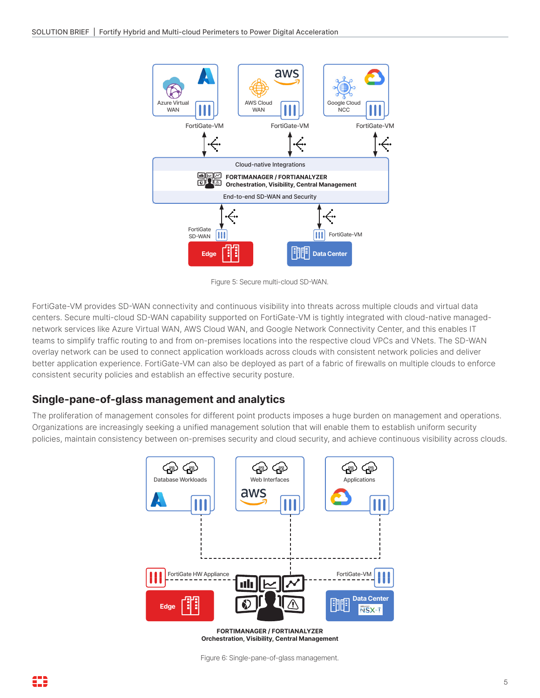

Figure 5: Secure multi-cloud SD-WAN.

FortiGate-VM provides SD-WAN connectivity and continuous visibility into threats across multiple clouds and virtual data centers. Secure multi-cloud SD-WAN capability supported on FortiGate-VM is tightly integrated with cloud-native managednetwork services like Azure Virtual WAN, AWS Cloud WAN, and Google Network Connectivity Center, and this enables IT teams to simplify traffic routing to and from on-premises locations into the respective cloud VPCs and VNets. The SD-WAN overlay network can be used to connect application workloads across clouds with consistent network policies and deliver better application experience. FortiGate-VM can also be deployed as part of a fabric of firewalls on multiple clouds to enforce consistent security policies and establish an effective security posture.

## **Single-pane-of-glass management and analytics**

The proliferation of management consoles for different point products imposes a huge burden on management and operations. Organizations are increasingly seeking a unified management solution that will enable them to establish uniform security policies, maintain consistency between on-premises security and cloud security, and achieve continuous visibility across clouds.



**FORTIMANAGER / FORTIANALYZER Orchestration, Visibility, Central Management**

Figure 6: Single-pane-of-glass management.